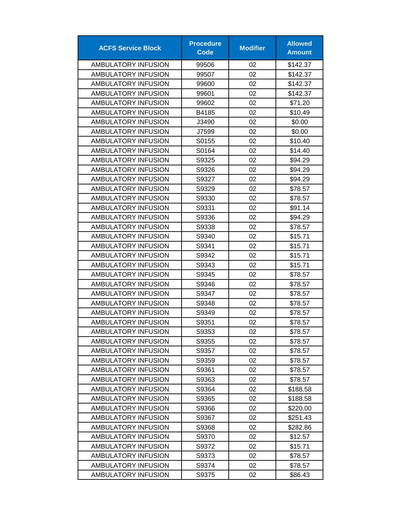| <b>ACFS Service Block</b> | <b>Procedure</b><br><b>Code</b> | <b>Modifier</b> | <b>Allowed</b><br><b>Amount</b> |
|---------------------------|---------------------------------|-----------------|---------------------------------|
| AMBULATORY INFUSION       | 99506                           | 02              | \$142.37                        |
| AMBULATORY INFUSION       | 99507                           | 02              | \$142.37                        |
| AMBULATORY INFUSION       | 99600                           | 02              | \$142.37                        |
| AMBULATORY INFUSION       | 99601                           | 02              | \$142.37                        |
| AMBULATORY INFUSION       | 99602                           | 02              | \$71.20                         |
| AMBULATORY INFUSION       | B4185                           | 02              | \$10.49                         |
| AMBULATORY INFUSION       | J3490                           | 02              | \$0.00                          |
| AMBULATORY INFUSION       | J7599                           | 02              | \$0.00                          |
| AMBULATORY INFUSION       | S0155                           | 02              | \$10.40                         |
| AMBULATORY INFUSION       | S0164                           | 02              | \$14.40                         |
| AMBULATORY INFUSION       | S9325                           | 02              | \$94.29                         |
| AMBULATORY INFUSION       | S9326                           | 02              | \$94.29                         |
| AMBULATORY INFUSION       | S9327                           | 02              | \$94.29                         |
| AMBULATORY INFUSION       | S9329                           | 02              | \$78.57                         |
| AMBULATORY INFUSION       | S9330                           | 02              | \$78.57                         |
| AMBULATORY INFUSION       | S9331                           | 02              | \$91.14                         |
| AMBULATORY INFUSION       | S9336                           | 02              | \$94.29                         |
| AMBULATORY INFUSION       | S9338                           | 02              | \$78.57                         |
| AMBULATORY INFUSION       | S9340                           | 02              | \$15.71                         |
| AMBULATORY INFUSION       | S9341                           | 02              | \$15.71                         |
| AMBULATORY INFUSION       | S9342                           | 02              | \$15.71                         |
| AMBULATORY INFUSION       | S9343                           | 02              | \$15.71                         |
| AMBULATORY INFUSION       | S9345                           | 02              | \$78.57                         |
| AMBULATORY INFUSION       | S9346                           | 02              | \$78.57                         |
| AMBULATORY INFUSION       | S9347                           | 02              | \$78.57                         |
| AMBULATORY INFUSION       | S9348                           | 02              | \$78.57                         |
| AMBULATORY INFUSION       | S9349                           | 02              | \$78.57                         |
| AMBULATORY INFUSION       | S9351                           | 02              | \$78.57                         |
| AMBULATORY INFUSION       | S9353                           | 02              | \$78.57                         |
| AMBULATORY INFUSION       | S9355                           | 02              | \$78.57                         |
| AMBULATORY INFUSION       | S9357                           | 02              | \$78.57                         |
| AMBULATORY INFUSION       | S9359                           | 02              | \$78.57                         |
| AMBULATORY INFUSION       | S9361                           | 02              | \$78.57                         |
| AMBULATORY INFUSION       | S9363                           | 02              | \$78.57                         |
| AMBULATORY INFUSION       | S9364                           | 02              | \$188.58                        |
| AMBULATORY INFUSION       | S9365                           | 02              | \$188.58                        |
| AMBULATORY INFUSION       | S9366                           | 02              | \$220.00                        |
| AMBULATORY INFUSION       | S9367                           | 02              | \$251.43                        |
| AMBULATORY INFUSION       | S9368                           | 02              | \$282.86                        |
| AMBULATORY INFUSION       | S9370                           | 02              | \$12.57                         |
| AMBULATORY INFUSION       | S9372                           | 02              | \$15.71                         |
| AMBULATORY INFUSION       | S9373                           | 02              | \$78.57                         |
| AMBULATORY INFUSION       | S9374                           | 02              | \$78.57                         |
| AMBULATORY INFUSION       | S9375                           | 02              | \$86.43                         |